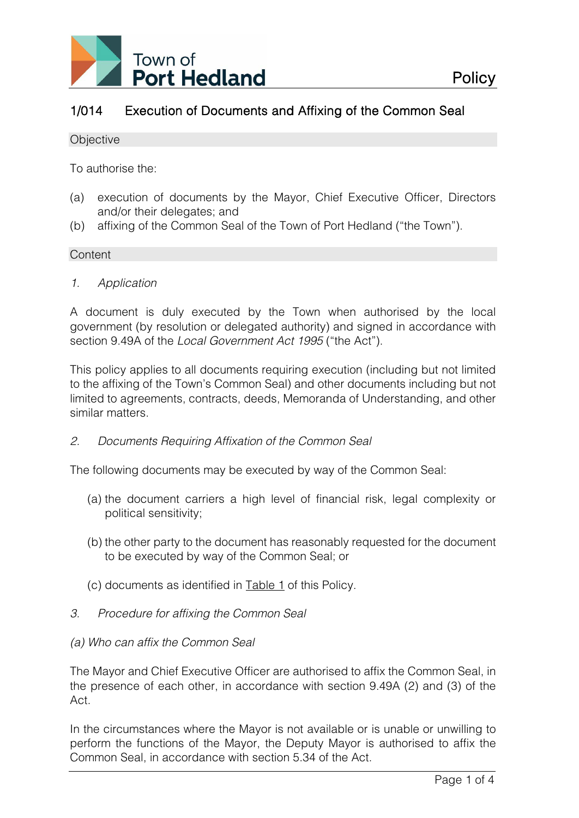

# 1/014 Execution of Documents and Affixing of the Common Seal

#### **Objective**

To authorise the:

- (a) execution of documents by the Mayor, Chief Executive Officer, Directors and/or their delegates; and
- (b) affixing of the Common Seal of the Town of Port Hedland ("the Town").

## **Content**

*1. Application* 

A document is duly executed by the Town when authorised by the local government (by resolution or delegated authority) and signed in accordance with section 9.49A of the *Local Government Act 1995* ("the Act").

This policy applies to all documents requiring execution (including but not limited to the affixing of the Town's Common Seal) and other documents including but not limited to agreements, contracts, deeds, Memoranda of Understanding, and other similar matters.

## *2. Documents Requiring Affixation of the Common Seal*

The following documents may be executed by way of the Common Seal:

- (a) the document carriers a high level of financial risk, legal complexity or political sensitivity;
- (b) the other party to the document has reasonably requested for the document to be executed by way of the Common Seal; or
- (c) documents as identified in Table 1 of this Policy.
- *3. Procedure for affixing the Common Seal*

## *(a) Who can affix the Common Seal*

The Mayor and Chief Executive Officer are authorised to affix the Common Seal, in the presence of each other, in accordance with section 9.49A (2) and (3) of the Act.

In the circumstances where the Mayor is not available or is unable or unwilling to perform the functions of the Mayor, the Deputy Mayor is authorised to affix the Common Seal, in accordance with section 5.34 of the Act.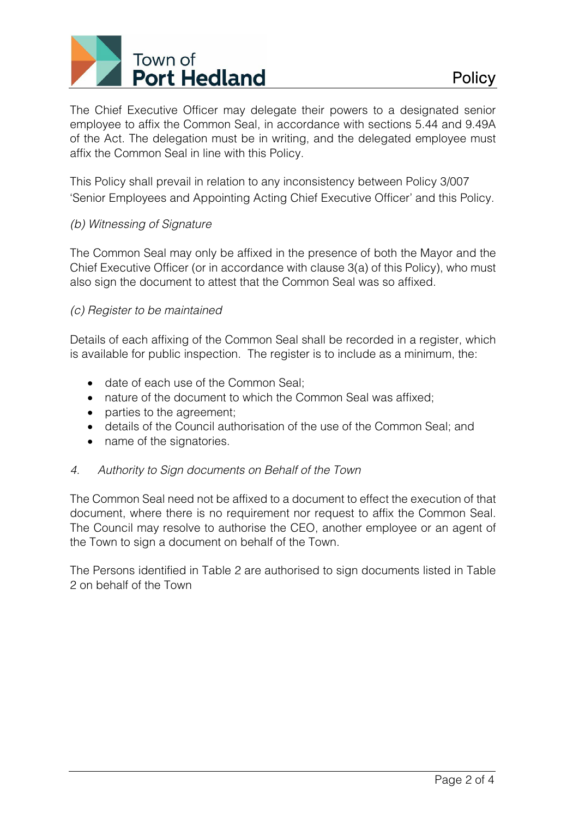

The Chief Executive Officer may delegate their powers to a designated senior employee to affix the Common Seal, in accordance with sections 5.44 and 9.49A of the Act. The delegation must be in writing, and the delegated employee must affix the Common Seal in line with this Policy.

This Policy shall prevail in relation to any inconsistency between Policy 3/007 'Senior Employees and Appointing Acting Chief Executive Officer' and this Policy.

## *(b) Witnessing of Signature*

The Common Seal may only be affixed in the presence of both the Mayor and the Chief Executive Officer (or in accordance with clause 3(a) of this Policy), who must also sign the document to attest that the Common Seal was so affixed.

## *(c) Register to be maintained*

Details of each affixing of the Common Seal shall be recorded in a register, which is available for public inspection. The register is to include as a minimum, the:

- date of each use of the Common Seal;
- nature of the document to which the Common Seal was affixed;
- parties to the agreement;
- details of the Council authorisation of the use of the Common Seal; and
- name of the signatories.

## *4. Authority to Sign documents on Behalf of the Town*

The Common Seal need not be affixed to a document to effect the execution of that document, where there is no requirement nor request to affix the Common Seal. The Council may resolve to authorise the CEO, another employee or an agent of the Town to sign a document on behalf of the Town.

The Persons identified in Table 2 are authorised to sign documents listed in Table 2 on behalf of the Town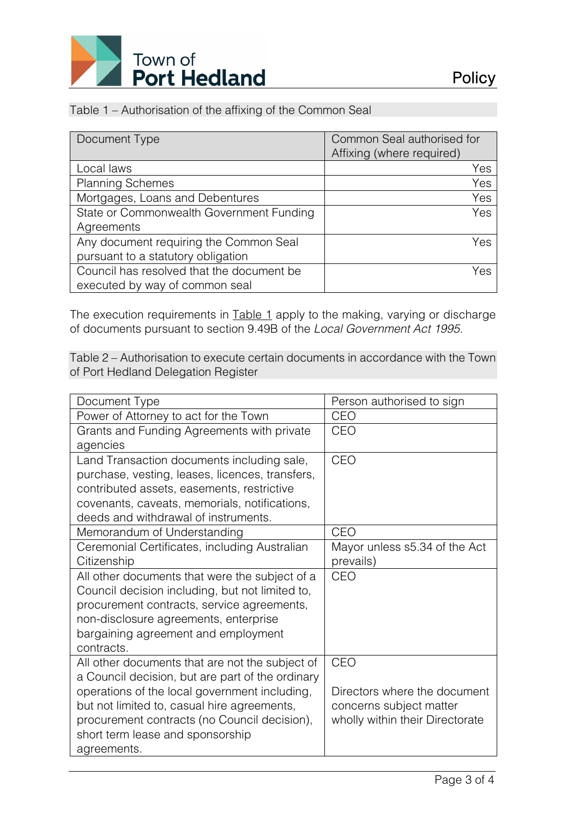

## Table 1 – Authorisation of the affixing of the Common Seal

| Document Type                             | Common Seal authorised for |  |
|-------------------------------------------|----------------------------|--|
|                                           | Affixing (where required)  |  |
| Local laws                                | Yes                        |  |
| <b>Planning Schemes</b>                   | Yes                        |  |
| Mortgages, Loans and Debentures           | Yes                        |  |
| State or Commonwealth Government Funding  | Yes                        |  |
| Agreements                                |                            |  |
| Any document requiring the Common Seal    | Yes                        |  |
| pursuant to a statutory obligation        |                            |  |
| Council has resolved that the document be | Yes                        |  |
| executed by way of common seal            |                            |  |

The execution requirements in Table 1 apply to the making, varying or discharge of documents pursuant to section 9.49B of the *Local Government Act 1995.* 

Table 2 – Authorisation to execute certain documents in accordance with the Town of Port Hedland Delegation Register

| Document Type                                    | Person authorised to sign       |  |
|--------------------------------------------------|---------------------------------|--|
| Power of Attorney to act for the Town            | CEO                             |  |
| Grants and Funding Agreements with private       | <b>CEO</b>                      |  |
| agencies                                         |                                 |  |
| Land Transaction documents including sale,       | <b>CEO</b>                      |  |
| purchase, vesting, leases, licences, transfers,  |                                 |  |
| contributed assets, easements, restrictive       |                                 |  |
| covenants, caveats, memorials, notifications,    |                                 |  |
| deeds and withdrawal of instruments.             |                                 |  |
| Memorandum of Understanding                      | <b>CEO</b>                      |  |
| Ceremonial Certificates, including Australian    | Mayor unless s5.34 of the Act   |  |
| Citizenship                                      | prevails)                       |  |
| All other documents that were the subject of a   | <b>CEO</b>                      |  |
| Council decision including, but not limited to,  |                                 |  |
| procurement contracts, service agreements,       |                                 |  |
| non-disclosure agreements, enterprise            |                                 |  |
| bargaining agreement and employment              |                                 |  |
| contracts.                                       |                                 |  |
| All other documents that are not the subject of  | <b>CEO</b>                      |  |
| a Council decision, but are part of the ordinary |                                 |  |
| operations of the local government including,    | Directors where the document    |  |
| but not limited to, casual hire agreements,      | concerns subject matter         |  |
| procurement contracts (no Council decision),     | wholly within their Directorate |  |
| short term lease and sponsorship                 |                                 |  |
| agreements.                                      |                                 |  |